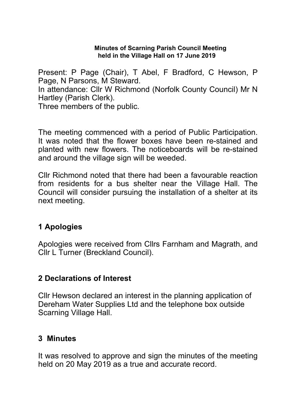#### **Minutes of Scarning Parish Council Meeting held in the Village Hall on 17 June 2019**

Present: P Page (Chair), T Abel, F Bradford, C Hewson, P Page, N Parsons, M Steward. In attendance: Cllr W Richmond (Norfolk County Council) Mr N Hartley (Parish Clerk).

Three members of the public.

The meeting commenced with a period of Public Participation. It was noted that the flower boxes have been re-stained and planted with new flowers. The noticeboards will be re-stained and around the village sign will be weeded.

Cllr Richmond noted that there had been a favourable reaction from residents for a bus shelter near the Village Hall. The Council will consider pursuing the installation of a shelter at its next meeting.

### **1 Apologies**

Apologies were received from Cllrs Farnham and Magrath, and Cllr L Turner (Breckland Council).

### **2 Declarations of Interest**

Cllr Hewson declared an interest in the planning application of Dereham Water Supplies Ltd and the telephone box outside Scarning Village Hall.

### **3 Minutes**

It was resolved to approve and sign the minutes of the meeting held on 20 May 2019 as a true and accurate record.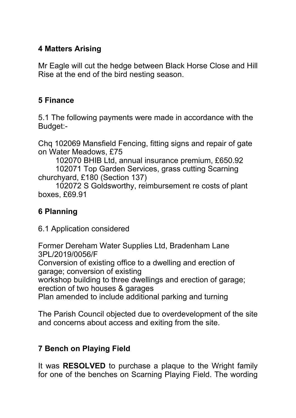# **4 Matters Arising**

Mr Eagle will cut the hedge between Black Horse Close and Hill Rise at the end of the bird nesting season.

# **5 Finance**

5.1 The following payments were made in accordance with the Budget:-

Chq 102069 Mansfield Fencing, fitting signs and repair of gate on Water Meadows, £75

 102070 BHIB Ltd, annual insurance premium, £650.92 102071 Top Garden Services, grass cutting Scarning churchyard, £180 (Section 137)

 102072 S Goldsworthy, reimbursement re costs of plant boxes, £69.91

# **6 Planning**

6.1 Application considered

Former Dereham Water Supplies Ltd, Bradenham Lane 3PL/2019/0056/F

Conversion of existing office to a dwelling and erection of garage; conversion of existing

workshop building to three dwellings and erection of garage; erection of two houses & garages

Plan amended to include additional parking and turning

The Parish Council objected due to overdevelopment of the site and concerns about access and exiting from the site.

# **7 Bench on Playing Field**

It was **RESOLVED** to purchase a plaque to the Wright family for one of the benches on Scarning Playing Field. The wording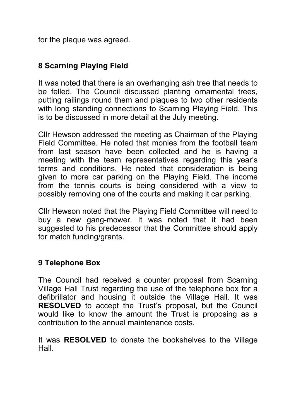for the plaque was agreed.

# **8 Scarning Playing Field**

It was noted that there is an overhanging ash tree that needs to be felled. The Council discussed planting ornamental trees, putting railings round them and plaques to two other residents with long standing connections to Scarning Playing Field. This is to be discussed in more detail at the July meeting.

Cllr Hewson addressed the meeting as Chairman of the Playing Field Committee. He noted that monies from the football team from last season have been collected and he is having a meeting with the team representatives regarding this year's terms and conditions. He noted that consideration is being given to more car parking on the Playing Field. The income from the tennis courts is being considered with a view to possibly removing one of the courts and making it car parking.

Cllr Hewson noted that the Playing Field Committee will need to buy a new gang-mower. It was noted that it had been suggested to his predecessor that the Committee should apply for match funding/grants.

# **9 Telephone Box**

The Council had received a counter proposal from Scarning Village Hall Trust regarding the use of the telephone box for a defibrillator and housing it outside the Village Hall. It was **RESOLVED** to accept the Trust's proposal, but the Council would like to know the amount the Trust is proposing as a contribution to the annual maintenance costs.

It was **RESOLVED** to donate the bookshelves to the Village Hall.